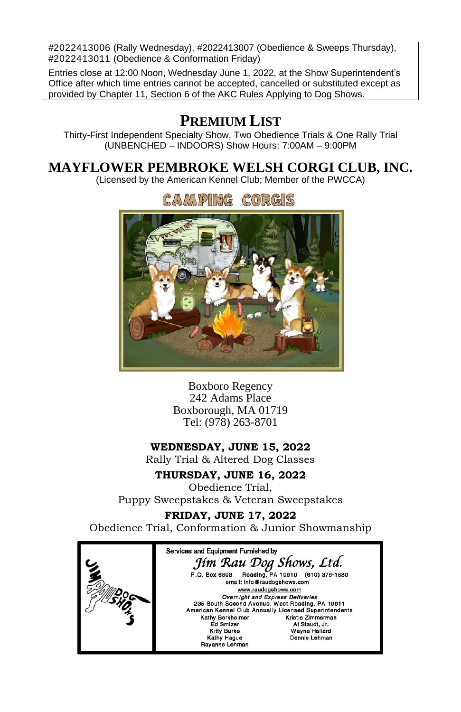#2022413006 (Rally Wednesday), #2022413007 (Obedience & Sweeps Thursday), #2022413011 (Obedience & Conformation Friday)

Entries close at 12:00 Noon, Wednesday June 1, 2022, at the Show Superintendent's Office after which time entries cannot be accepted, cancelled or substituted except as provided by Chapter 11, Section 6 of the AKC Rules Applying to Dog Shows.

# **PREMIUM LIST**

Thirty-First Independent Specialty Show, Two Obedience Trials & One Rally Trial (UNBENCHED – INDOORS) Show Hours: 7:00AM – 9:00PM

# **MAYFLOWER PEMBROKE WELSH CORGI CLUB, INC.**

(Licensed by the American Kennel Club; Member of the PWCCA)



Boxboro Regency 242 Adams Place Boxborough, MA 01719 Tel: (978) 263-8701

### **WEDNESDAY, JUNE 15, 2022**

Rally Trial & Altered Dog Classes

## **THURSDAY, JUNE 16, 2022**

Obedience Trial, Puppy Sweepstakes & Veteran Sweepstakes

# **FRIDAY, JUNE 17, 2022**

Obedience Trial, Conformation & Junior Showmanship

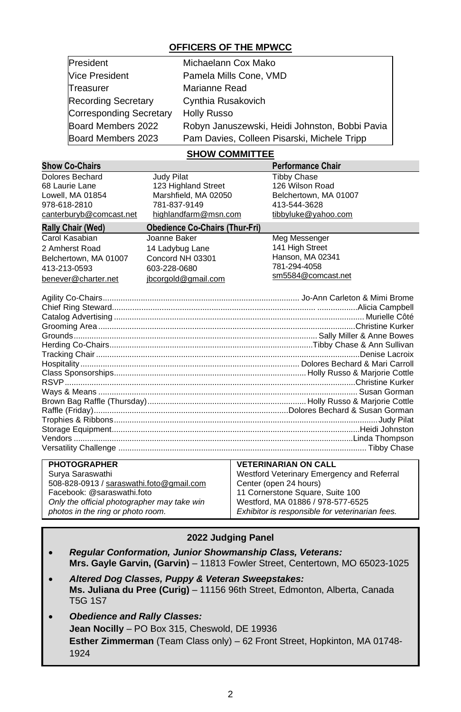### **OFFICERS OF THE MPWCC**

| President                  | Michaelann Cox Mako                            |
|----------------------------|------------------------------------------------|
| <b>Vice President</b>      | Pamela Mills Cone, VMD                         |
| Treasurer                  | Marianne Read                                  |
| <b>Recording Secretary</b> | Cynthia Rusakovich                             |
| Corresponding Secretary    | Holly Russo                                    |
| Board Members 2022         | Robyn Januszewski, Heidi Johnston, Bobbi Pavia |
| Board Members 2023         | Pam Davies, Colleen Pisarski, Michele Tripp    |

### **SHOW COMMITTEE**

| <b>Show Co-Chairs</b>                    |                                                                |                        | <b>Performance Chair</b>         |  |
|------------------------------------------|----------------------------------------------------------------|------------------------|----------------------------------|--|
| Dolores Bechard                          | Judy Pilat                                                     |                        | <b>Tibby Chase</b>               |  |
| 68 Laurie Lane                           | 123 Highland Street                                            |                        | 126 Wilson Road                  |  |
| Lowell, MA 01854                         | Marshfield, MA 02050                                           |                        | Belchertown, MA 01007            |  |
| 978-618-2810                             | 781-837-9149                                                   |                        | 413-544-3628                     |  |
| canterburyb@comcast.net                  | highlandfarm@msn.com                                           |                        | tibbyluke@yahoo.com              |  |
| Rally Chair (Wed)                        | <b>Obedience Co-Chairs (Thur-Fri)</b>                          |                        |                                  |  |
| Carol Kasabian                           | Joanne Baker                                                   |                        | Meg Messenger                    |  |
| 2 Amherst Road                           | 14 Ladybug Lane                                                |                        | 141 High Street                  |  |
| Belchertown, MA 01007                    | Concord NH 03301                                               |                        | Hanson, MA 02341                 |  |
| 413-213-0593                             | 603-228-0680                                                   |                        | 781-294-4058                     |  |
| benever@charter.net                      | jbcorgold@gmail.com                                            |                        | sm5584@comcast.net               |  |
|                                          |                                                                |                        |                                  |  |
|                                          |                                                                |                        |                                  |  |
|                                          |                                                                |                        |                                  |  |
|                                          |                                                                |                        |                                  |  |
|                                          |                                                                |                        |                                  |  |
|                                          |                                                                |                        |                                  |  |
|                                          |                                                                |                        |                                  |  |
|                                          |                                                                |                        |                                  |  |
|                                          |                                                                |                        |                                  |  |
|                                          |                                                                |                        |                                  |  |
|                                          |                                                                |                        |                                  |  |
|                                          |                                                                |                        |                                  |  |
|                                          |                                                                |                        |                                  |  |
|                                          |                                                                |                        |                                  |  |
|                                          |                                                                |                        |                                  |  |
|                                          |                                                                |                        |                                  |  |
|                                          |                                                                |                        |                                  |  |
| <b>PHOTOGRAPHER</b>                      |                                                                |                        | <b>VETERINARIAN ON CALL</b>      |  |
|                                          | Surya Saraswathi<br>Westford Veterinary Emergency and Referral |                        |                                  |  |
| 508-828-0913 / saraswathi.foto@gmail.com |                                                                | Center (open 24 hours) |                                  |  |
| Facebook: @saraswathi.foto               |                                                                |                        | 11 Cornerstone Square, Suite 100 |  |

### **2022 Judging Panel**

Westford, MA 01886 / 978-577-6525 *Exhibitor is responsible for veterinarian fees.*

*Only the official photographer may take win photos in the ring or photo room.*

- *Regular Conformation, Junior Showmanship Class, Veterans:* **Mrs. Gayle Garvin, (Garvin)** – 11813 Fowler Street, Centertown, MO 65023-1025
- *Altered Dog Classes, Puppy & Veteran Sweepstakes:* **Ms. Juliana du Pree (Curig)** – 11156 96th Street, Edmonton, Alberta, Canada T5G 1S7
- *Obedience and Rally Classes:* **Jean Nocilly** – PO Box 315, Cheswold, DE 19936 **Esther Zimmerman** (Team Class only) – 62 Front Street, Hopkinton, MA 01748- 1924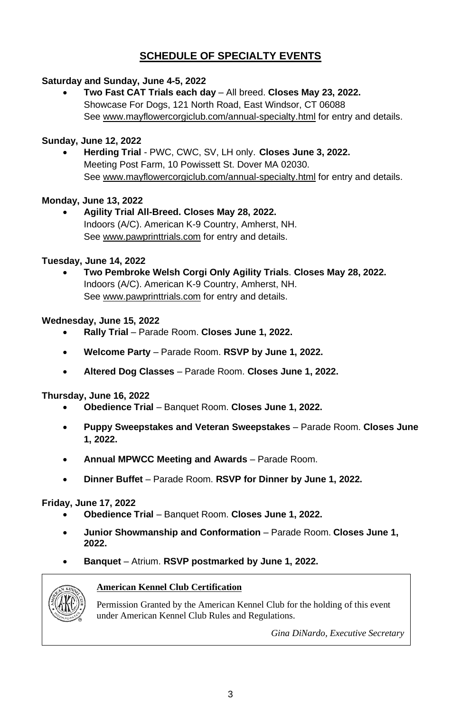# **SCHEDULE OF SPECIALTY EVENTS**

### **Saturday and Sunday, June 4-5, 2022**

• **Two Fast CAT Trials each day** – All breed. **Closes May 23, 2022.** Showcase For Dogs, 121 North Road, East Windsor, CT 06088 See [www.mayflowercorgiclub.com/](http://www.mayflowercorgiclub.com/)annual-specialty.html for entry and details.

### **Sunday, June 12, 2022**

• **Herding Trial** - PWC, CWC, SV, LH only. **Closes June 3, 2022.** Meeting Post Farm, 10 Powissett St. Dover MA 02030. See [www.mayflowercorgiclub.com/](http://www.mayflowercorgiclub.com/)annual-specialty.html for entry and details.

### **Monday, June 13, 2022**

• **Agility Trial All-Breed. Closes May 28, 2022.** Indoors (A/C). American K-9 Country, Amherst, NH. See [www.pawprinttrials.com](http://www.pawprinttrials.com/) for entry and details.

### **Tuesday, June 14, 2022**

• **Two Pembroke Welsh Corgi Only Agility Trials**. **Closes May 28, 2022.** Indoors (A/C). American K-9 Country, Amherst, NH. See [www.pawprinttrials.com](http://www.pawprinttrials.com/) for entry and details.

### **Wednesday, June 15, 2022**

- **Rally Trial** Parade Room. **Closes June 1, 2022.**
- **Welcome Party** Parade Room. **RSVP by June 1, 2022.**
- **Altered Dog Classes** Parade Room. **Closes June 1, 2022.**

### **Thursday, June 16, 2022**

- **Obedience Trial** Banquet Room. **Closes June 1, 2022.**
- **Puppy Sweepstakes and Veteran Sweepstakes** Parade Room. **Closes June 1, 2022.**
- **Annual MPWCC Meeting and Awards** Parade Room.
- **Dinner Buffet** Parade Room. **RSVP for Dinner by June 1, 2022.**

### **Friday, June 17, 2022**

- **Obedience Trial** Banquet Room. **Closes June 1, 2022.**
- **Junior Showmanship and Conformation** Parade Room. **Closes June 1, 2022.**
- **Banquet** Atrium. **RSVP postmarked by June 1, 2022.**



### **American Kennel Club Certification**

Permission Granted by the American Kennel Club for the holding of this event under American Kennel Club Rules and Regulations.

*Gina DiNardo, Executive Secretary*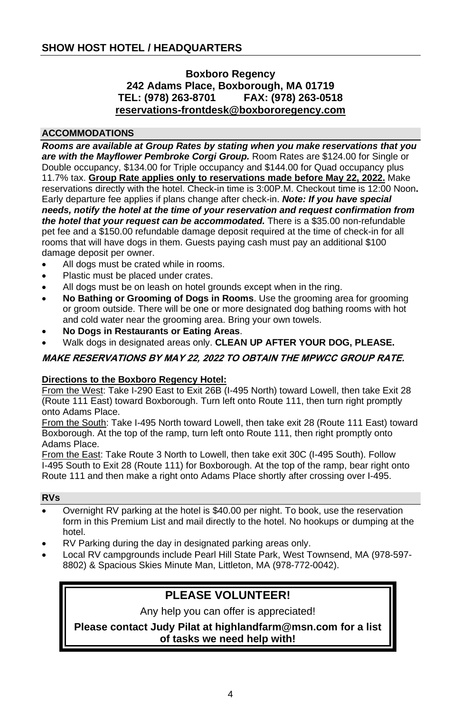### **Boxboro Regency 242 Adams Place, Boxborough, MA 01719 TEL: (978) 263-8701 FAX: (978) 263-0518 [reservations-frontdesk@boxbororegency.com](mailto:Reservations-frontdesk@boxbororegency.com)**

### **ACCOMMODATIONS**

*Rooms are available at Group Rates by stating when you make reservations that you are with the Mayflower Pembroke Corgi Group.* Room Rates are \$124.00 for Single or Double occupancy, \$134.00 for Triple occupancy and \$144.00 for Quad occupancy plus 11.7% tax. **Group Rate applies only to reservations made before May 22, 2022.** Make reservations directly with the hotel. Check-in time is 3:00P.M. Checkout time is 12:00 Noon**.** Early departure fee applies if plans change after check-in. *Note: If you have special needs, notify the hotel at the time of your reservation and request confirmation from the hotel that your request can be accommodated.* There is a \$35.00 non-refundable pet fee and a \$150.00 refundable damage deposit required at the time of check-in for all rooms that will have dogs in them. Guests paying cash must pay an additional \$100 damage deposit per owner.

- All dogs must be crated while in rooms.
- Plastic must be placed under crates.
- All dogs must be on leash on hotel grounds except when in the ring.
- **No Bathing or Grooming of Dogs in Rooms**. Use the grooming area for grooming or groom outside. There will be one or more designated dog bathing rooms with hot and cold water near the grooming area. Bring your own towels.
- **No Dogs in Restaurants or Eating Areas**.
- Walk dogs in designated areas only. **CLEAN UP AFTER YOUR DOG, PLEASE.**

### **MAKE RESERVATIONS BY MAY 22, 2022 TO OBTAIN THE MPWCC GROUP RATE.**

### **Directions to the Boxboro Regency Hotel:**

From the West: Take I-290 East to Exit 26B (I-495 North) toward Lowell, then take Exit 28 (Route 111 East) toward Boxborough. Turn left onto Route 111, then turn right promptly onto Adams Place.

From the South: Take I-495 North toward Lowell, then take exit 28 (Route 111 East) toward Boxborough. At the top of the ramp, turn left onto Route 111, then right promptly onto Adams Place.

From the East: Take Route 3 North to Lowell, then take exit 30C (I-495 South). Follow I-495 South to Exit 28 (Route 111) for Boxborough. At the top of the ramp, bear right onto Route 111 and then make a right onto Adams Place shortly after crossing over I-495.

### **RVs**

- Overnight RV parking at the hotel is \$40.00 per night. To book, use the reservation form in this Premium List and mail directly to the hotel. No hookups or dumping at the hotel.
- RV Parking during the day in designated parking areas only.
- Local RV campgrounds include Pearl Hill State Park, West Townsend, MA [\(978-597-](tel:9785978802) [8802\)](tel:9785978802) & Spacious Skies Minute Man, Littleton, MA [\(978-772-0042\)](tel:(978)%20772-0042).

# **PLEASE VOLUNTEER!**

Any help you can offer is appreciated!

**Please contact Judy Pilat at [highlandfarm@msn.com](mailto:highlandfarm@msn.com) for a list of tasks we need help with!**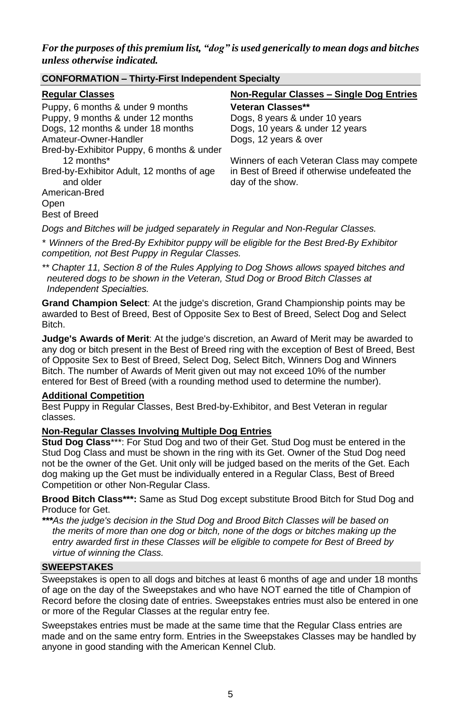*For the purposes of this premium list, "dog" is used generically to mean dogs and bitches unless otherwise indicated.*

| <u>sena enumeriten indian suomasponasin eposian</u>                            |                                              |  |
|--------------------------------------------------------------------------------|----------------------------------------------|--|
| <b>Regular Classes</b>                                                         | Non-Regular Classes – Single Dog Entries     |  |
| Puppy, 6 months & under 9 months                                               | <b>Veteran Classes**</b>                     |  |
| Puppy, 9 months & under 12 months                                              | Dogs, 8 years & under 10 years               |  |
| Dogs, 12 months & under 18 months                                              | Dogs, 10 years & under 12 years              |  |
| Amateur-Owner-Handler                                                          | Dogs, 12 years & over                        |  |
| Bred-by-Exhibitor Puppy, 6 months & under                                      |                                              |  |
| 12 months*                                                                     | Winners of each Veteran Class may compete    |  |
| Bred-by-Exhibitor Adult, 12 months of age                                      | in Best of Breed if otherwise undefeated the |  |
| and older                                                                      | day of the show.                             |  |
| American-Bred                                                                  |                                              |  |
| Open                                                                           |                                              |  |
| <b>Best of Breed</b>                                                           |                                              |  |
| Dogs and Bitches will be judged separately in Regular and Non-Regular Classes. |                                              |  |

*\* Winners of the Bred-By Exhibitor puppy will be eligible for the Best Bred-By Exhibitor*

*competition, not Best Puppy in Regular Classes.*

**CONFORMATION – Thirty-First Independent Specialty**

*\*\* Chapter 11, Section 8 of the Rules Applying to Dog Shows allows spayed bitches and neutered dogs to be shown in the Veteran, Stud Dog or Brood Bitch Classes at Independent Specialties.*

**Grand Champion Select**: At the judge's discretion, Grand Championship points may be awarded to Best of Breed, Best of Opposite Sex to Best of Breed, Select Dog and Select Bitch.

**Judge's Awards of Merit**: At the judge's discretion, an Award of Merit may be awarded to any dog or bitch present in the Best of Breed ring with the exception of Best of Breed, Best of Opposite Sex to Best of Breed, Select Dog, Select Bitch, Winners Dog and Winners Bitch. The number of Awards of Merit given out may not exceed 10% of the number entered for Best of Breed (with a rounding method used to determine the number).

### **Additional Competition**

Best Puppy in Regular Classes, Best Bred-by-Exhibitor, and Best Veteran in regular classes.

### **Non-Regular Classes Involving Multiple Dog Entries**

**Stud Dog Class**\*\*\*: For Stud Dog and two of their Get. Stud Dog must be entered in the Stud Dog Class and must be shown in the ring with its Get. Owner of the Stud Dog need not be the owner of the Get. Unit only will be judged based on the merits of the Get. Each dog making up the Get must be individually entered in a Regular Class, Best of Breed Competition or other Non-Regular Class.

**Brood Bitch Class\*\*\*:** Same as Stud Dog except substitute Brood Bitch for Stud Dog and Produce for Get.

*\*\*\*As the judge's decision in the Stud Dog and Brood Bitch Classes will be based on the merits of more than one dog or bitch, none of the dogs or bitches making up the entry awarded first in these Classes will be eligible to compete for Best of Breed by virtue of winning the Class.*

### **SWEEPSTAKES**

Sweepstakes is open to all dogs and bitches at least 6 months of age and under 18 months of age on the day of the Sweepstakes and who have NOT earned the title of Champion of Record before the closing date of entries. Sweepstakes entries must also be entered in one or more of the Regular Classes at the regular entry fee.

Sweepstakes entries must be made at the same time that the Regular Class entries are made and on the same entry form. Entries in the Sweepstakes Classes may be handled by anyone in good standing with the American Kennel Club.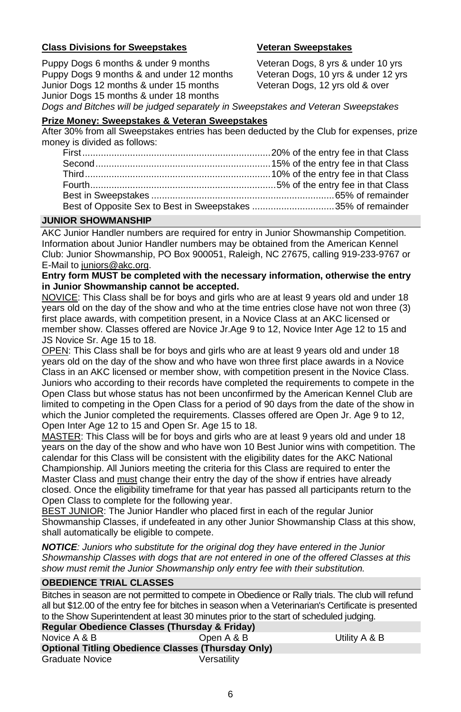### **Class Divisions for Sweepstakes Veteran Sweepstakes**

Puppy Dogs 6 months & under 9 months Puppy Dogs 9 months & and under 12 months Junior Dogs 12 months & under 15 months Junior Dogs 15 months & under 18 months

Veteran Dogs, 8 yrs & under 10 yrs Veteran Dogs, 10 yrs & under 12 yrs Veteran Dogs, 12 yrs old & over

### *Dogs and Bitches will be judged separately in Sweepstakes and Veteran Sweepstakes*

### **Prize Money: Sweepstakes & Veteran Sweepstakes**

After 30% from all Sweepstakes entries has been deducted by the Club for expenses, prize money is divided as follows:

| Best of Opposite Sex to Best in Sweepstakes 35% of remainder |  |
|--------------------------------------------------------------|--|

### **JUNIOR SHOWMANSHIP**

AKC Junior Handler numbers are required for entry in Junior Showmanship Competition. Information about Junior Handler numbers may be obtained from the American Kennel Club: Junior Showmanship, PO Box 900051, Raleigh, NC 27675, calling 919-233-9767 or E-Mail to juniors@akc.org.

### **Entry form MUST be completed with the necessary information, otherwise the entry in Junior Showmanship cannot be accepted.**

NOVICE: This Class shall be for boys and girls who are at least 9 years old and under 18 years old on the day of the show and who at the time entries close have not won three (3) first place awards, with competition present, in a Novice Class at an AKC licensed or member show. Classes offered are Novice Jr.Age 9 to 12, Novice Inter Age 12 to 15 and JS Novice Sr. Age 15 to 18.

OPEN: This Class shall be for boys and girls who are at least 9 years old and under 18 years old on the day of the show and who have won three first place awards in a Novice Class in an AKC licensed or member show, with competition present in the Novice Class. Juniors who according to their records have completed the requirements to compete in the Open Class but whose status has not been unconfirmed by the American Kennel Club are limited to competing in the Open Class for a period of 90 days from the date of the show in which the Junior completed the requirements. Classes offered are Open Jr. Age 9 to 12, Open Inter Age 12 to 15 and Open Sr. Age 15 to 18.

MASTER: This Class will be for boys and girls who are at least 9 years old and under 18 years on the day of the show and who have won 10 Best Junior wins with competition. The calendar for this Class will be consistent with the eligibility dates for the AKC National Championship. All Juniors meeting the criteria for this Class are required to enter the Master Class and must change their entry the day of the show if entries have already closed. Once the eligibility timeframe for that year has passed all participants return to the Open Class to complete for the following year.

BEST JUNIOR: The Junior Handler who placed first in each of the regular Junior Showmanship Classes, if undefeated in any other Junior Showmanship Class at this show, shall automatically be eligible to compete.

*NOTICE: Juniors who substitute for the original dog they have entered in the Junior Showmanship Classes with dogs that are not entered in one of the offered Classes at this show must remit the Junior Showmanship only entry fee with their substitution.*

### **OBEDIENCE TRIAL CLASSES**

Bitches in season are not permitted to compete in Obedience or Rally trials. The club will refund all but \$12.00 of the entry fee for bitches in season when a Veterinarian's Certificate is presented to the Show Superintendent at least 30 minutes prior to the start of scheduled judging. **Regular Obedience Classes (Thursday & Friday)**

| Regular Obedience Classes (Thursuay & Friday)             |             |               |  |
|-----------------------------------------------------------|-------------|---------------|--|
| Novice A & B                                              | Open A & B  | Utility A & B |  |
| <b>Optional Titling Obedience Classes (Thursday Only)</b> |             |               |  |
| Graduate Novice                                           | Versatilitv |               |  |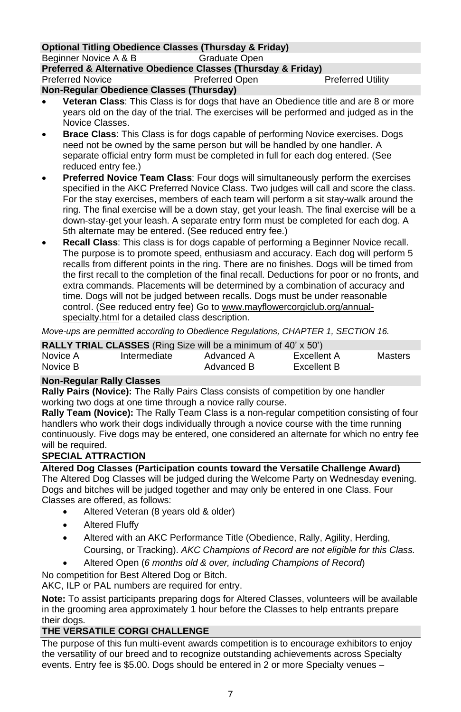#### **Optional Titling Obedience Classes (Thursday & Friday)** Beginner Novice A & B

**Preferred & Alternative Obedience Classes (Thursday & Friday)** Preferred Novice **Preferred Open** Preferred Preferred Utility **Non-Regular Obedience Classes (Thursday)**

- **Veteran Class**: This Class is for dogs that have an Obedience title and are 8 or more years old on the day of the trial. The exercises will be performed and judged as in the Novice Classes.
- **Brace Class**: This Class is for dogs capable of performing Novice exercises. Dogs need not be owned by the same person but will be handled by one handler. A separate official entry form must be completed in full for each dog entered. (See reduced entry fee.)
- **Preferred Novice Team Class**: Four dogs will simultaneously perform the exercises specified in the AKC Preferred Novice Class. Two judges will call and score the class. For the stay exercises, members of each team will perform a sit stay-walk around the ring. The final exercise will be a down stay, get your leash. The final exercise will be a down-stay-get your leash. A separate entry form must be completed for each dog. A 5th alternate may be entered. (See reduced entry fee.)
- **Recall Class**: This class is for dogs capable of performing a Beginner Novice recall. The purpose is to promote speed, enthusiasm and accuracy. Each dog will perform 5 recalls from different points in the ring. There are no finishes. Dogs will be timed from the first recall to the completion of the final recall. Deductions for poor or no fronts, and extra commands. Placements will be determined by a combination of accuracy and time. Dogs will not be judged between recalls. Dogs must be under reasonable control. (See reduced entry fee) Go to [www.mayflowercorgiclub.org/annual](http://www.mayflowercorgiclub.org/annual-specialty.html)[specialty.html](http://www.mayflowercorgiclub.org/annual-specialty.html) for a detailed class description.

*Move-ups are permitted according to Obedience Regulations, CHAPTER 1, SECTION 16.*

|          | <b>RALLY TRIAL CLASSES</b> (Ring Size will be a minimum of 40' x 50') |            |             |         |
|----------|-----------------------------------------------------------------------|------------|-------------|---------|
| Novice A | Intermediate                                                          | Advanced A | Excellent A | Masters |
| Novice B |                                                                       | Advanced B | Excellent B |         |

### **Non-Regular Rally Classes**

**Rally Pairs (Novice):** The Rally Pairs Class consists of competition by one handler working two dogs at one time through a novice rally course.

**Rally Team (Novice):** The Rally Team Class is a non-regular competition consisting of four handlers who work their dogs individually through a novice course with the time running continuously. Five dogs may be entered, one considered an alternate for which no entry fee will be required.

### **SPECIAL ATTRACTION**

**Altered Dog Classes (Participation counts toward the Versatile Challenge Award)**

The Altered Dog Classes will be judged during the Welcome Party on Wednesday evening. Dogs and bitches will be judged together and may only be entered in one Class. Four Classes are offered, as follows:

- Altered Veteran (8 years old & older)
- Altered Fluffy
- Altered with an AKC Performance Title (Obedience, Rally, Agility, Herding, Coursing, or Tracking). *AKC Champions of Record are not eligible for this Class.*
- Altered Open (*6 months old & over, including Champions of Record*)

No competition for Best Altered Dog or Bitch.

AKC. ILP or PAL numbers are required for entry.

**Note:** To assist participants preparing dogs for Altered Classes, volunteers will be available in the grooming area approximately 1 hour before the Classes to help entrants prepare their dogs.

## **THE VERSATILE CORGI CHALLENGE**

The purpose of this fun multi-event awards competition is to encourage exhibitors to enjoy the versatility of our breed and to recognize outstanding achievements across Specialty events. Entry fee is \$5.00. Dogs should be entered in 2 or more Specialty venues –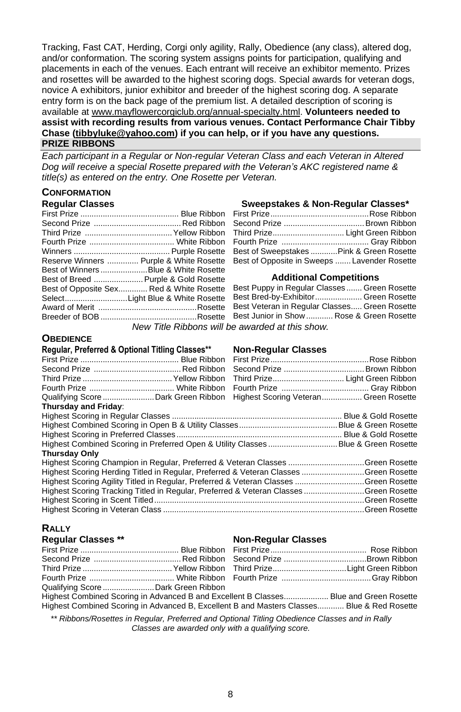Tracking, Fast CAT, Herding, Corgi only agility, Rally, Obedience (any class), altered dog, and/or conformation. The scoring system assigns points for participation, qualifying and placements in each of the venues. Each entrant will receive an exhibitor memento. Prizes and rosettes will be awarded to the highest scoring dogs. Special awards for veteran dogs, novice A exhibitors, junior exhibitor and breeder of the highest scoring dog. A separate entry form is on the back page of the premium list. A detailed description of scoring is available at [www.mayflowercorgiclub.org/annual-specialty.html.](http://www.mayflowercorgiclub.org/annual-specialty.html) **Volunteers needed to assist with recording results from various venues. Contact Performance Chair Tibby Chase (tibbyluke@yahoo.com) if you can help, or if you have any questions.**

### **PRIZE RIBBONS**

*Each participant in a Regular or Non-regular Veteran Class and each Veteran in Altered Dog will receive a special Rosette prepared with the Veteran's AKC registered name & title(s) as entered on the entry. One Rosette per Veteran.*

# **CONFORMATION**

| Requiar Gasses |                                          |
|----------------|------------------------------------------|
|                |                                          |
|                |                                          |
|                |                                          |
|                |                                          |
|                |                                          |
|                | Reserve Winners  Purple & White Rosette  |
|                | Best of Winners Blue & White Rosette     |
|                | Best of Breed  Purple & Gold Rosette     |
|                | Best of Opposite Sex Red & White Rosette |
|                |                                          |
|                |                                          |
|                |                                          |
|                |                                          |

### **Regular Classes Sweepstakes & Non-Regular Classes\***

| Third Prize Light Green Ribbon               |  |
|----------------------------------------------|--|
|                                              |  |
| Best of Sweepstakes Pink & Green Rosette     |  |
| Best of Opposite in Sweeps  Lavender Rosette |  |

#### **Additional Competitions**

| Best Puppy in Regular Classes  Green Rosette  |  |
|-----------------------------------------------|--|
| Best Bred-by-Exhibitor Green Rosette          |  |
| Best Veteran in Regular Classes Green Rosette |  |
| Best Junior in Show  Rose & Green Rosette     |  |
| e awarded at this show                        |  |

*New Title Ribbons will be awarded at this show.*

### **OBEDIENCE**

# **Regular, Preferred & Optional Titling Classes\*\* Non-Regular Classes**

| Qualifying Score Dark Green Ribbon Highest Scoring Veteran  Green Rosette            |  |
|--------------------------------------------------------------------------------------|--|
|                                                                                      |  |
|                                                                                      |  |
|                                                                                      |  |
|                                                                                      |  |
|                                                                                      |  |
|                                                                                      |  |
| Highest Scoring Champion in Regular, Preferred & Veteran Classes Green Rosette       |  |
| Highest Scoring Herding Titled in Regular, Preferred & Veteran Classes Green Rosette |  |
| Highest Scoring Agility Titled in Regular, Preferred & Veteran Classes Green Rosette |  |
| Highest Scoring Tracking Titled in Regular, Preferred & Veteran ClassesGreen Rosette |  |
|                                                                                      |  |
|                                                                                      |  |
|                                                                                      |  |

# **RALLY**

#### **Regular Classes \*\* Non-Regular Classes**

| Qualifying Score  Dark Green Ribbon                                                           |  |  |
|-----------------------------------------------------------------------------------------------|--|--|
| Highest Combined Scoring in Advanced B and Excellent B Classes Blue and Green Rosette         |  |  |
| Highest Combined Scoring in Advanced B, Excellent B and Masters Classes Blue & Red Rosette    |  |  |
| ** Dikkono/Dooottoo in Dogular, Droformad and Ontional Titling Obodiones Classes and in Dolly |  |  |

*\*\* Ribbons/Rosettes in Regular, Preferred and Optional Titling Obedience Classes and in Rally Classes are awarded only with a qualifying score.*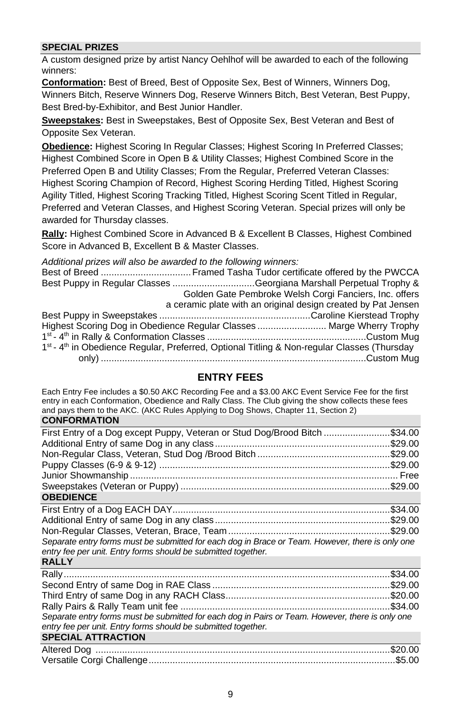### **SPECIAL PRIZES**

A custom designed prize by artist Nancy Oehlhof will be awarded to each of the following winners:

**Conformation:** Best of Breed, Best of Opposite Sex, Best of Winners, Winners Dog, Winners Bitch, Reserve Winners Dog, Reserve Winners Bitch, Best Veteran, Best Puppy, Best Bred-by-Exhibitor, and Best Junior Handler.

**Sweepstakes:** Best in Sweepstakes, Best of Opposite Sex, Best Veteran and Best of Opposite Sex Veteran.

**Obedience:** Highest Scoring In Regular Classes; Highest Scoring In Preferred Classes; Highest Combined Score in Open B & Utility Classes; Highest Combined Score in the Preferred Open B and Utility Classes; From the Regular, Preferred Veteran Classes: Highest Scoring Champion of Record, Highest Scoring Herding Titled, Highest Scoring Agility Titled, Highest Scoring Tracking Titled, Highest Scoring Scent Titled in Regular, Preferred and Veteran Classes, and Highest Scoring Veteran. Special prizes will only be awarded for Thursday classes.

**Rally:** Highest Combined Score in Advanced B & Excellent B Classes, Highest Combined Score in Advanced B, Excellent B & Master Classes.

*Additional prizes will also be awarded to the following winners:*

|  | Best Puppy in Regular Classes Georgiana Marshall Perpetual Trophy &                                                 |
|--|---------------------------------------------------------------------------------------------------------------------|
|  | Golden Gate Pembroke Welsh Corgi Fanciers, Inc. offers                                                              |
|  | a ceramic plate with an original design created by Pat Jensen                                                       |
|  |                                                                                                                     |
|  | Highest Scoring Dog in Obedience Regular Classes  Marge Wherry Trophy                                               |
|  |                                                                                                                     |
|  | 1 <sup>st</sup> - 4 <sup>th</sup> in Obedience Regular, Preferred, Optional Titling & Non-regular Classes (Thursday |
|  |                                                                                                                     |
|  |                                                                                                                     |

### **ENTRY FEES**

Each Entry Fee includes a \$0.50 AKC Recording Fee and a \$3.00 AKC Event Service Fee for the first entry in each Conformation, Obedience and Rally Class. The Club giving the show collects these fees and pays them to the AKC. (AKC Rules Applying to Dog Shows, Chapter 11, Section 2) **CONFORMATION**

| First Entry of a Dog except Puppy, Veteran or Stud Dog/Brood Bitch \$34.00                       |  |
|--------------------------------------------------------------------------------------------------|--|
|                                                                                                  |  |
|                                                                                                  |  |
|                                                                                                  |  |
|                                                                                                  |  |
|                                                                                                  |  |
| <b>OBEDIENCE</b>                                                                                 |  |
|                                                                                                  |  |
|                                                                                                  |  |
|                                                                                                  |  |
| Separate entry forms must be submitted for each dog in Brace or Team. However, there is only one |  |
| entry fee per unit. Entry forms should be submitted together.                                    |  |
| <b>RALLY</b>                                                                                     |  |
|                                                                                                  |  |
|                                                                                                  |  |
|                                                                                                  |  |
|                                                                                                  |  |
| Separate entry forms must be submitted for each dog in Pairs or Team. However, there is only one |  |
| entry fee per unit. Entry forms should be submitted together.                                    |  |
| <b>SPECIAL ATTRACTION</b>                                                                        |  |
|                                                                                                  |  |
|                                                                                                  |  |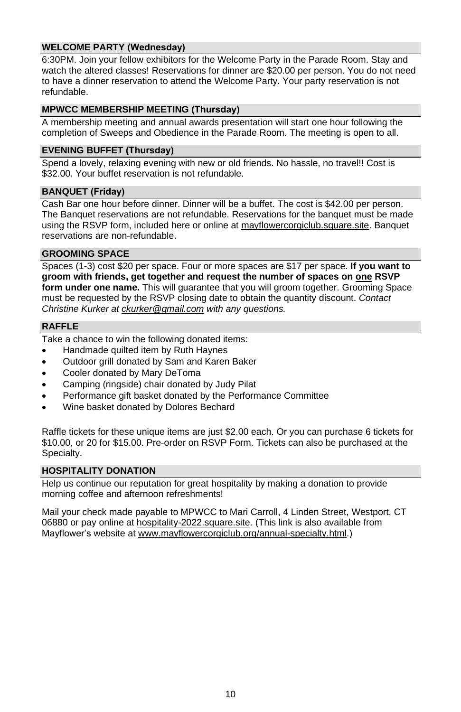### **WELCOME PARTY (Wednesday)**

6:30PM. Join your fellow exhibitors for the Welcome Party in the Parade Room. Stay and watch the altered classes! Reservations for dinner are \$20.00 per person. You do not need to have a dinner reservation to attend the Welcome Party. Your party reservation is not refundable.

### **MPWCC MEMBERSHIP MEETING (Thursday)**

A membership meeting and annual awards presentation will start one hour following the completion of Sweeps and Obedience in the Parade Room. The meeting is open to all.

### **EVENING BUFFET (Thursday)**

Spend a lovely, relaxing evening with new or old friends. No hassle, no travel!! Cost is \$32.00. Your buffet reservation is not refundable.

### **BANQUET (Friday)**

Cash Bar one hour before dinner. Dinner will be a buffet. The cost is \$42.00 per person. The Banquet reservations are not refundable. Reservations for the banquet must be made using the RSVP form, included here or online at mayflowercorgiclub.square.site. Banquet reservations are non-refundable.

### **GROOMING SPACE**

Spaces (1-3) cost \$20 per space. Four or more spaces are \$17 per space. **If you want to groom with friends, get together and request the number of spaces on one RSVP form under one name.** This will guarantee that you will groom together. Grooming Space must be requested by the RSVP closing date to obtain the quantity discount. *Contact Christine Kurker at [ckurker@gmail.com](mailto:ckurker@gmail.com) with any questions.*

### **RAFFLE**

Take a chance to win the following donated items:

- Handmade quilted item by Ruth Haynes
- Outdoor grill donated by Sam and Karen Baker
- Cooler donated by Mary DeToma
- Camping (ringside) chair donated by Judy Pilat
- Performance gift basket donated by the Performance Committee
- Wine basket donated by Dolores Bechard

Raffle tickets for these unique items are just \$2.00 each. Or you can purchase 6 tickets for \$10.00, or 20 for \$15.00. Pre-order on RSVP Form. Tickets can also be purchased at the Specialty.

### **HOSPITALITY DONATION**

Help us continue our reputation for great hospitality by making a donation to provide morning coffee and afternoon refreshments!

Mail your check made payable to MPWCC to Mari Carroll, 4 Linden Street, Westport, CT 06880 or pay online at [hospitality-2022.square.site.](https://hospitality-2022.square.site/) (This link is also available from Mayflower's website at [www.mayflowercorgiclub.org/a](http://www.mayflowercorgiclub.org/)nnual-specialty.html.)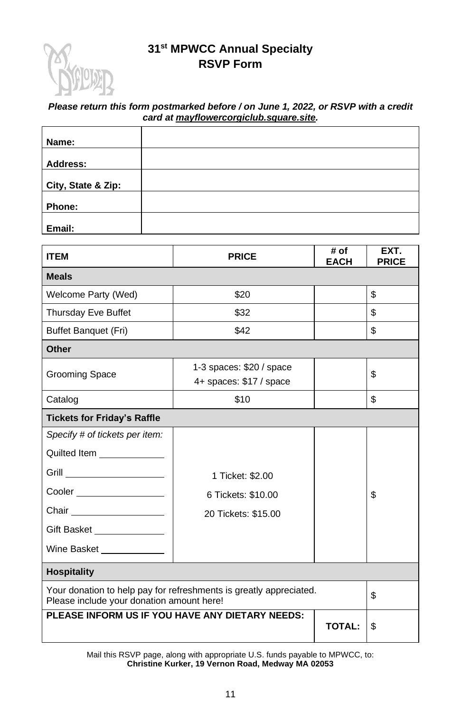

# **31st MPWCC Annual Specialty RSVP Form**

### *Please return this form postmarked before / on June 1, 2022, or RSVP with a credit card at [mayflowercorgiclub.square.site.](http://mayflowercorgiclub.square.site/)*

| Name:              |  |
|--------------------|--|
| <b>Address:</b>    |  |
| City, State & Zip: |  |
| Phone:             |  |
| Email:             |  |

| <b>ITEM</b>                                                                                                                                                             | <b>PRICE</b>                                                  | # of<br><b>EACH</b> | EXT.<br><b>PRICE</b> |
|-------------------------------------------------------------------------------------------------------------------------------------------------------------------------|---------------------------------------------------------------|---------------------|----------------------|
| <b>Meals</b>                                                                                                                                                            |                                                               |                     |                      |
| Welcome Party (Wed)                                                                                                                                                     | \$20                                                          |                     | \$                   |
| Thursday Eve Buffet                                                                                                                                                     | \$32                                                          |                     | \$                   |
| <b>Buffet Banquet (Fri)</b>                                                                                                                                             | \$42                                                          |                     | \$                   |
| Other                                                                                                                                                                   |                                                               |                     |                      |
| Grooming Space                                                                                                                                                          | 1-3 spaces: \$20 / space<br>4+ spaces: \$17 / space           |                     | \$                   |
| Catalog                                                                                                                                                                 | \$10                                                          |                     | \$                   |
| <b>Tickets for Friday's Raffle</b>                                                                                                                                      |                                                               |                     |                      |
| Specify # of tickets per item:<br>Quilted Item <b>Example 20</b><br>Cooler ____________________<br>Chair __________________<br>Gift Basket<br>Wine Basket _____________ | 1 Ticket: \$2,00<br>6 Tickets: \$10.00<br>20 Tickets: \$15.00 |                     | \$                   |
| <b>Hospitality</b>                                                                                                                                                      |                                                               |                     |                      |
| Your donation to help pay for refreshments is greatly appreciated.<br>Please include your donation amount here!                                                         |                                                               |                     | \$                   |
|                                                                                                                                                                         | PLEASE INFORM US IF YOU HAVE ANY DIETARY NEEDS:               | <b>TOTAL:</b>       | \$                   |

Mail this RSVP page, along with appropriate U.S. funds payable to MPWCC, to: **Christine Kurker, 19 Vernon Road, Medway MA 02053**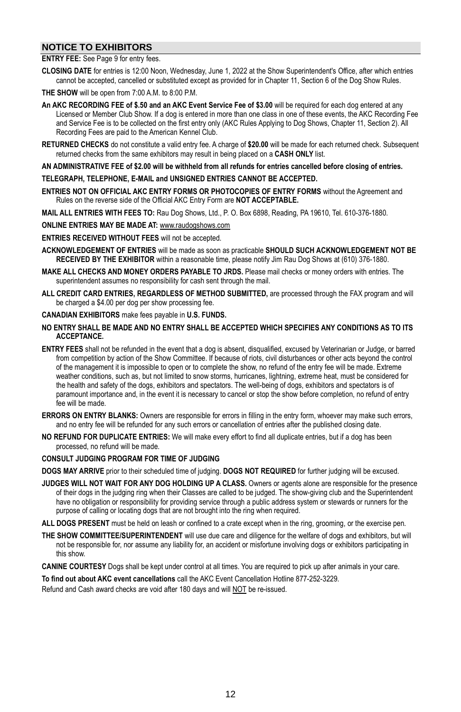### **NOTICE TO EXHIBITORS**

#### **ENTRY FEE:** See Page 9 for entry fees.

- **CLOSING DATE** for entries is 12:00 Noon, Wednesday, June 1, 2022 at the Show Superintendent's Office, after which entries cannot be accepted, cancelled or substituted except as provided for in Chapter 11, Section 6 of the Dog Show Rules.
- **THE SHOW** will be open from 7:00 A.M. to 8:00 P.M.
- **An AKC RECORDING FEE of \$.50 and an AKC Event Service Fee of \$3.00** will be required for each dog entered at any Licensed or Member Club Show. If a dog is entered in more than one class in one of these events, the AKC Recording Fee and Service Fee is to be collected on the first entry only (AKC Rules Applying to Dog Shows, Chapter 11, Section 2). All Recording Fees are paid to the American Kennel Club.
- **RETURNED CHECKS** do not constitute a valid entry fee. A charge of **\$20.00** will be made for each returned check. Subsequent returned checks from the same exhibitors may result in being placed on a **CASH ONLY** list.

AN ADMINISTRATIVE FEE of \$2.00 will be withheld from all refunds for entries cancelled before closing of entries.

#### **TELEGRAPH, TELEPHONE, E-MAIL and UNSIGNED ENTRIES CANNOT BE ACCEPTED.**

- **ENTRIES NOT ON OFFICIAL AKC ENTRY FORMS OR PHOTOCOPIES OF ENTRY FORMS** without the Agreement and Rules on the reverse side of the Official AKC Entry Form are **NOT ACCEPTABLE.**
- **MAIL ALL ENTRIES WITH FEES TO:** Rau Dog Shows, Ltd., P. O. Box 6898, Reading, PA 19610, Tel. 610-376-1880.
- **ONLINE ENTRIES MAY BE MADE AT:** www.raudogshows.com
- **ENTRIES RECEIVED WITHOUT FEES** will not be accepted.
- **ACKNOWLEDGEMENT OF ENTRIES** will be made as soon as practicable **SHOULD SUCH ACKNOWLEDGEMENT NOT BE RECEIVED BY THE EXHIBITOR** within a reasonable time, please notify Jim Rau Dog Shows at (610) 376-1880.
- **MAKE ALL CHECKS AND MONEY ORDERS PAYABLE TO JRDS.** Please mail checks or money orders with entries. The superintendent assumes no responsibility for cash sent through the mail.
- **ALL CREDIT CARD ENTRIES, REGARDLESS OF METHOD SUBMITTED,** are processed through the FAX program and will be charged a \$4.00 per dog per show processing fee.
- **CANADIAN EXHIBITORS** make fees payable in **U.S. FUNDS.**
- **NO ENTRY SHALL BE MADE AND NO ENTRY SHALL BE ACCEPTED WHICH SPECIFIES ANY CONDITIONS AS TO ITS ACCEPTANCE.**
- **ENTRY FEES** shall not be refunded in the event that a dog is absent, disqualified, excused by Veterinarian or Judge, or barred from competition by action of the Show Committee. If because of riots, civil disturbances or other acts beyond the control of the management it is impossible to open or to complete the show, no refund of the entry fee will be made. Extreme weather conditions, such as, but not limited to snow storms, hurricanes, lightning, extreme heat, must be considered for the health and safety of the dogs, exhibitors and spectators. The well-being of dogs, exhibitors and spectators is of paramount importance and, in the event it is necessary to cancel or stop the show before completion, no refund of entry fee will be made.
- **ERRORS ON ENTRY BLANKS:** Owners are responsible for errors in filling in the entry form, whoever may make such errors, and no entry fee will be refunded for any such errors or cancellation of entries after the published closing date.
- **NO REFUND FOR DUPLICATE ENTRIES:** We will make every effort to find all duplicate entries, but if a dog has been processed, no refund will be made.

#### **CONSULT JUDGING PROGRAM FOR TIME OF JUDGING**

**DOGS MAY ARRIVE** prior to their scheduled time of judging. **DOGS NOT REQUIRED** for further judging will be excused.

- **JUDGES WILL NOT WAIT FOR ANY DOG HOLDING UP A CLASS.** Owners or agents alone are responsible for the presence of their dogs in the judging ring when their Classes are called to be judged. The show-giving club and the Superintendent have no obligation or responsibility for providing service through a public address system or stewards or runners for the purpose of calling or locating dogs that are not brought into the ring when required.
- **ALL DOGS PRESENT** must be held on leash or confined to a crate except when in the ring, grooming, or the exercise pen.
- **THE SHOW COMMITTEE/SUPERINTENDENT** will use due care and diligence for the welfare of dogs and exhibitors, but will not be responsible for, nor assume any liability for, an accident or misfortune involving dogs or exhibitors participating in this show.
- **CANINE COURTESY** Dogs shall be kept under control at all times. You are required to pick up after animals in your care.

**To find out about AKC event cancellations** call the AKC Event Cancellation Hotline 877-252-3229.

Refund and Cash award checks are void after 180 days and will NOT be re-issued.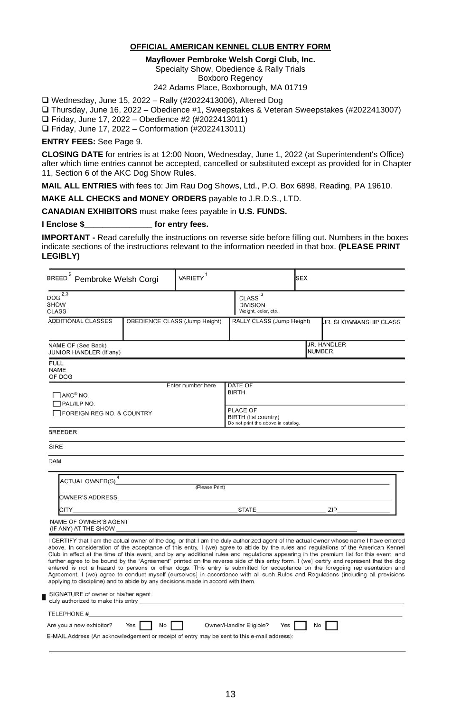### **OFFICIAL AMERICAN KENNEL CLUB ENTRY FORM**

**Mayflower Pembroke Welsh Corgi Club, Inc.**

Specialty Show, Obedience & Rally Trials

Boxboro Regency

242 Adams Place, Boxborough, MA 01719

❑ Wednesday, June 15, 2022 – Rally (#2022413006), Altered Dog

❑ Thursday, June 16, 2022 – Obedience #1, Sweepstakes & Veteran Sweepstakes (#2022413007)

❑ Friday, June 17, 2022 – Obedience #2 (#2022413011)

❑ Friday, June 17, 2022 – Conformation (#2022413011)

**ENTRY FEES:** See Page 9.

Ē

**CLOSING DATE** for entries is at 12:00 Noon, Wednesday, June 1, 2022 (at Superintendent's Office) after which time entries cannot be accepted, cancelled or substituted except as provided for in Chapter 11, Section 6 of the AKC Dog Show Rules.

**MAIL ALL ENTRIES** with fees to: Jim Rau Dog Shows, Ltd., P.O. Box 6898, Reading, PA 19610.

**MAKE ALL CHECKS and MONEY ORDERS** payable to J.R.D.S., LTD.

**CANADIAN EXHIBITORS** must make fees payable in **U.S. FUNDS.**

**I Enclose \$\_\_\_\_\_\_\_\_\_\_\_\_\_\_\_ for entry fees.**

**IMPORTANT -** Read carefully the instructions on reverse side before filling out. Numbers in the boxes indicate sections of the instructions relevant to the information needed in that box. **(PLEASE PRINT LEGIBLY)**

| BREED <sup>5</sup> Pembroke Welsh Corgi                                                                                                                                                                                                                                                                                                                                                                                                                                                                                                                                                                                                                                                                                                                                                                                                                                                                                  | VARIETY <sup>1</sup> |                                                                                                   | <b>SEX</b>    |                       |
|--------------------------------------------------------------------------------------------------------------------------------------------------------------------------------------------------------------------------------------------------------------------------------------------------------------------------------------------------------------------------------------------------------------------------------------------------------------------------------------------------------------------------------------------------------------------------------------------------------------------------------------------------------------------------------------------------------------------------------------------------------------------------------------------------------------------------------------------------------------------------------------------------------------------------|----------------------|---------------------------------------------------------------------------------------------------|---------------|-----------------------|
| DOG <sup>2,3</sup><br><b>SHOW</b><br><b>CLASS</b>                                                                                                                                                                                                                                                                                                                                                                                                                                                                                                                                                                                                                                                                                                                                                                                                                                                                        |                      | CLASS <sup>3</sup><br><b>DIVISION</b><br>Weight, color, etc.                                      |               |                       |
| <b>ADDITIONAL CLASSES</b><br>OBEDIENCE CLASS (Jump Height)                                                                                                                                                                                                                                                                                                                                                                                                                                                                                                                                                                                                                                                                                                                                                                                                                                                               |                      | RALLY CLASS (Jump Height)                                                                         |               | JR. SHOWMANSHIP CLASS |
| NAME OF (See Back)<br>JUNIOR HANDLER (If any)                                                                                                                                                                                                                                                                                                                                                                                                                                                                                                                                                                                                                                                                                                                                                                                                                                                                            |                      |                                                                                                   | <b>NUMBER</b> | JR. HANDLER           |
| <b>FULL</b><br><b>NAME</b><br>OF DOG                                                                                                                                                                                                                                                                                                                                                                                                                                                                                                                                                                                                                                                                                                                                                                                                                                                                                     |                      |                                                                                                   |               |                       |
| ПАКС <sup>®</sup> NO.<br>PAL/ILP NO.<br>FOREIGN REG NO. & COUNTRY                                                                                                                                                                                                                                                                                                                                                                                                                                                                                                                                                                                                                                                                                                                                                                                                                                                        | Enter number here    | DATE OF<br><b>BIRTH</b><br>PLACE OF<br>BIRTH (list country)<br>Do not print the above in catalog. |               |                       |
| <b>BREEDER</b>                                                                                                                                                                                                                                                                                                                                                                                                                                                                                                                                                                                                                                                                                                                                                                                                                                                                                                           |                      |                                                                                                   |               |                       |
| <b>SIRE</b>                                                                                                                                                                                                                                                                                                                                                                                                                                                                                                                                                                                                                                                                                                                                                                                                                                                                                                              |                      |                                                                                                   |               |                       |
| <b>DAM</b>                                                                                                                                                                                                                                                                                                                                                                                                                                                                                                                                                                                                                                                                                                                                                                                                                                                                                                               |                      |                                                                                                   |               |                       |
| ACTUAL OWNER(S) <sup>4</sup> (Please Print)<br>OWNER'S ADDRESS <b>ALCOHOL:</b> A CONTRACT A CONTRACT A CONTRACT OF A CONTRACT OF A CONTRACT OF A CONTRACT OF A CONTRACT OF A CONTRACT OF A CONTRACT OF A CONTRACT OF A CONTRACT OF A CONTRACT OF A CONTRACT OF A CONTRACT OF A CON                                                                                                                                                                                                                                                                                                                                                                                                                                                                                                                                                                                                                                       |                      |                                                                                                   |               |                       |
| <u>STATE The STATE STATE SIDE SERVER SERVER SERVER SERVER SERVER SERVER SERVER SERVER SERVER SERVER SERVER SERVER SERVER SERVER SERVER SERVER SERVER SERVER SERVER SERVER SERVER SERVER SERVER SERVER SERVER SERVER SERVER SERVE</u><br>CITY                                                                                                                                                                                                                                                                                                                                                                                                                                                                                                                                                                                                                                                                             |                      |                                                                                                   |               |                       |
| NAME OF OWNER'S AGENT                                                                                                                                                                                                                                                                                                                                                                                                                                                                                                                                                                                                                                                                                                                                                                                                                                                                                                    |                      |                                                                                                   |               |                       |
| I CERTIFY that I am the actual owner of the dog, or that I am the duly authorized agent of the actual owner whose name I have entered<br>above. In consideration of the acceptance of this entry, I (we) agree to abide by the rules and regulations of the American Kennel<br>Club in effect at the time of this event, and by any additional rules and regulations appearing in the premium list for this event, and<br>further agree to be bound by the "Agreement" printed on the reverse side of this entry form. I (we) certify and represent that the dog<br>entered is not a hazard to persons or other dogs. This entry is submitted for acceptance on the foregoing representation and<br>Agreement. I (we) agree to conduct myself (ourselves) in accordance with all such Rules and Regulations (including all provisions<br>applying to discipline) and to abide by any decisions made in accord with them. |                      |                                                                                                   |               |                       |
| SIGNATURE of owner or his/her agent<br>duly authorized to make this entry experience of the control of the control of the control of the control of the control of the control of the control of the control of the control of the control of the control of the cont                                                                                                                                                                                                                                                                                                                                                                                                                                                                                                                                                                                                                                                    |                      |                                                                                                   |               |                       |
| TELEPHONE #                                                                                                                                                                                                                                                                                                                                                                                                                                                                                                                                                                                                                                                                                                                                                                                                                                                                                                              |                      |                                                                                                   |               |                       |
| Are you a new exhibitor?<br>E-MAIL Address (An acknowledgement or receipt of entry may be sent to this e-mail address):                                                                                                                                                                                                                                                                                                                                                                                                                                                                                                                                                                                                                                                                                                                                                                                                  |                      | Owner/Handler Eligible?<br>Yes I                                                                  | <b>No</b>     |                       |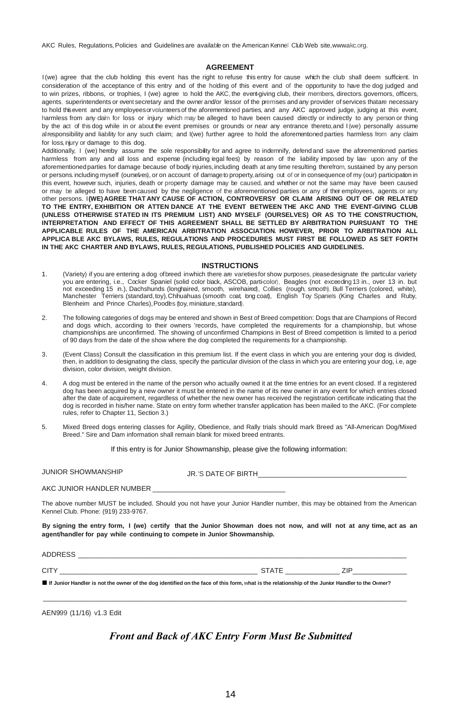AKC Rules, Regulations, Policies and Guidelines are available on the American Kennel Club Web site, www.akc.org.

#### **AGREEMENT**

I(we) agree that the club holding this event has the right to refuse this entry for cause which the club shall deem sufficient. In consideration of the acceptance of this entry and of the holding of this event and of the opportunity to have the dog judged and to win prizes, ribbons, or trophies, I (we) agree to hold the AKC, the event-giving club, their members, directors. governors, officers, agents, superintendents or event secretary and the owner and/or lessor of the premises and any provider of services thatare necessary to hold thisevent and any employeesorvolunteersof the aforementioned parties, and any AKC approved judge, judging at this event, harmless from any claim for loss or injury which may be alleged to have been caused directly or indirectly to any person or thing by the act of this dog while in or about the event premises or grounds or near any entrance thereto, and I (we) personally assume alresponsibility and liability for any such claim; and I(we) further agree to hold the aforementioned parties harmless from any claim for loss, njury or damage to this dog.

Additionally, I (we) hereby assume the sole responsibility for and agree to indemnify, defend and save the aforementioned parties harmless from any and all loss and expense (including legal fees) by reason of the liability imposed by law upon any of the aforementioned parties for damage because of bodly injuries, including death at any time resulting therefrom, sustained by any person or persons.including myself (ourselves), or on account of damageto property,arising out of or in consequence of my (our) participation in this event, however such, injuries, death or property damage may be caused, and whether or not the same may have been caused or may be alleged to have been caused by the negligence of the aforementioned parties or any of their employees, agents.or any other persons. I**(WE) AGREE THAT ANY CAUSE OF ACTION, CONTROVERSY OR CLAIM ARISING OUT OF OR RELATED TO THE ENTRY, EXHIBITION OR ATTEN DANCE AT THE EVENT BETWEEN THE AKC AND THE EVENT-GIVING CLUB (UNLESS OTHERWISE STATED IN ITS PREMIUM LIST) AND MYSELF (OURSELVES) OR AS TO THE CONSTRUCTION, INTERPRETATION AND EFFECT OF THIS AGREEMENT SHALL BE SETTLED BY ARBITRATION PURSUANT TO THE APPLICABLE RULES OF THE AMERICAN ARBITRATION ASSOCIATION. HOWEVER, PRIOR TO ARBITRATION ALL APPLICA BLE AKC BYLAWS, RULES, REGULATIONS AND PROCEDURES MUST FIRST BE FOLLOWED AS SET FORTH IN THE AKC CHARTER AND BYLAWS, RULES, REGULATIONS, PUBLISHED POLICIES AND GUIDELINES.**

#### **INSTRUCTIONS**

- 1. (Variety) if you are entering a dog ofbreed inwhich there are varietiesfor show purposes, pleasedesignate the particular variety you are entering, i.e., Cocker Spaniel (solid color black, ASCOB, parti-color), Beagles (not exceeding 13 in., over 13 in. but not exceeding 15 in.), Dachshunds (longhaired, smooth, wirehaired), Collies (rough, smooth), Bull Terriers (colored, white), Manchester Terriers (standard,toy),Chihuahuas (smooth coat, long coat), English Toy Spaniels (King Charles and Ruby, Blenheim and Prince Charles), Poodles (toy, miniature, standard).
- 2. The following categories of dogs may be entered and shown in Best of Breed competition: Dogs that are Champions of Record and dogs which, according to their owners 'records, have completed the requirements for a championship, but whose championships are unconfirmed. The showing of unconfirmed Champions in Best of Breed competition is limited to a period of 90 days from the date of the show where the dog completed the requirements for a championship.
- 3. (Event Class) Consult the classification in this premium list. If the event class in which you are entering your dog is divided, then, in addition to designating the class, specify the particular division of the class in which you are entering your dog, i.e, age division, color division, weight division.
- 4. A dog must be entered in the name of the person who actually owned it at the time entries for an event closed. If a registered dog has been acquired by a new owner it must be entered in the name of its new owner in any event for which entries closed after the date of acquirement, regardless of whether the new owner has received the registration certificate indicating that the dog is recorded in his/her name. State on entry form whether transfer application has been mailed to the AKC. (For complete rules, refer to Chapter 11, Section 3.)
- 5. Mixed Breed dogs entering classes for Agility, Obedience, and Rally trials should mark Breed as "All-American Dog/Mixed Breed." Sire and Dam information shall remain blank for mixed breed entrants.

If this entry is for Junior Showmanship, please give the following information:

JUNIOR SHOWMANSHIP JR 'S DATE OF BIRTH

#### AKC JUNIOR HANDLER NUMBER

The above number MUST be included. Should you not have your Junior Handler number, this may be obtained from the American Kennel Club. Phone: (919) 233-9767.

By signing the entry form, I (we) certify that the Junior Showman does not now, and will not at any time, act as an **agent/handler for pay while continuing to compete in Junior Showmanship.**

| ADDRESS                                                                                                                                         |       |  |  |
|-------------------------------------------------------------------------------------------------------------------------------------------------|-------|--|--|
| CIT)                                                                                                                                            | ≺TAT⊢ |  |  |
| If Junior Handler is not the owner of the dog identified on the face of this form, what is the relationship of the Junior Handler to the Owner? |       |  |  |

 $\_$  ,  $\_$  ,  $\_$  ,  $\_$  ,  $\_$  ,  $\_$  ,  $\_$  ,  $\_$  ,  $\_$  ,  $\_$  ,  $\_$  ,  $\_$  ,  $\_$  ,  $\_$  ,  $\_$  ,  $\_$  ,  $\_$  ,  $\_$  ,  $\_$  ,  $\_$  ,  $\_$  ,  $\_$  ,  $\_$  ,  $\_$  ,  $\_$  ,  $\_$  ,  $\_$  ,  $\_$  ,  $\_$  ,  $\_$  ,  $\_$  ,  $\_$  ,  $\_$  ,  $\_$  ,  $\_$  ,  $\_$  ,  $\_$  ,

AEN999 (11/16) v1.3 Edit

### *Front and Back of AKC Entry Form Must Be Submitted*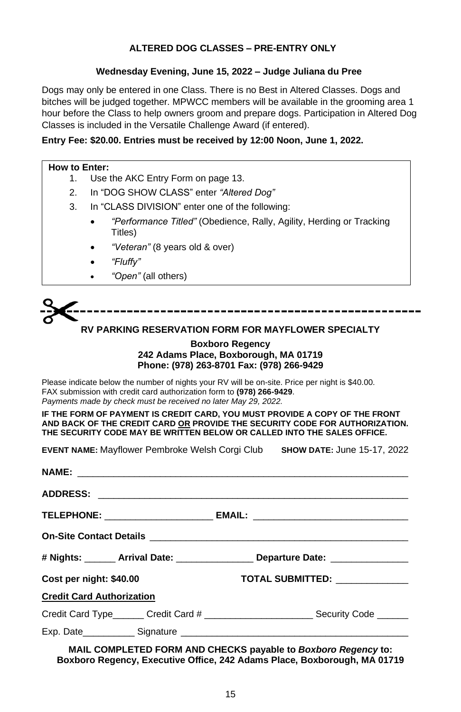### **ALTERED DOG CLASSES – PRE-ENTRY ONLY**

### **Wednesday Evening, June 15, 2022 – Judge Juliana du Pree**

Dogs may only be entered in one Class. There is no Best in Altered Classes. Dogs and bitches will be judged together. MPWCC members will be available in the grooming area 1 hour before the Class to help owners groom and prepare dogs. Participation in Altered Dog Classes is included in the Versatile Challenge Award (if entered).

### **Entry Fee: \$20.00. Entries must be received by 12:00 Noon, June 1, 2022.**

### **How to Enter:**

- 1. Use the AKC Entry Form on page 13.
- 2. In "DOG SHOW CLASS" enter *"Altered Dog"*
- 3. In "CLASS DIVISION" enter one of the following:
	- *"Performance Titled"* (Obedience, Rally, Agility, Herding or Tracking Titles)
	- *"Veteran"* (8 years old & over)
	- *"Fluffy"*
	- *"Open"* (all others)

# **RV PARKING RESERVATION FORM FOR MAYFLOWER SPECIALTY**

### **Boxboro Regency 242 Adams Place, Boxborough, MA 01719 Phone: (978) 263-8701 Fax: (978) 266-9429**

Please indicate below the number of nights your RV will be on-site. Price per night is \$40.00. FAX submission with credit card authorization form to **(978) 266-9429**. *Payments made by check must be received no later May 29, 2022.*

**IF THE FORM OF PAYMENT IS CREDIT CARD, YOU MUST PROVIDE A COPY OF THE FRONT AND BACK OF THE CREDIT CARD OR PROVIDE THE SECURITY CODE FOR AUTHORIZATION. THE SECURITY CODE MAY BE WRITTEN BELOW OR CALLED INTO THE SALES OFFICE.**

**EVENT NAME:** Mayflower Pembroke Welsh Corgi Club **SHOW DATE:** June 15-17, 2022

|                                  | # Nights: _______ Arrival Date: ________________ Departure Date: _______________                                                                                                                                               |
|----------------------------------|--------------------------------------------------------------------------------------------------------------------------------------------------------------------------------------------------------------------------------|
| Cost per night: \$40.00          | TOTAL SUBMITTED: ____________                                                                                                                                                                                                  |
| <b>Credit Card Authorization</b> |                                                                                                                                                                                                                                |
|                                  |                                                                                                                                                                                                                                |
|                                  | Exp. Date Signature Signature Signature Signature Signature Signature Signature Signature Signature Signature Signature Signature Signature Signature Signature Signature Signature Signature Signature Signature Signature Si |
|                                  |                                                                                                                                                                                                                                |

**MAIL COMPLETED FORM AND CHECKS payable to** *Boxboro Regency* **to: Boxboro Regency, Executive Office, 242 Adams Place, Boxborough, MA 01719**